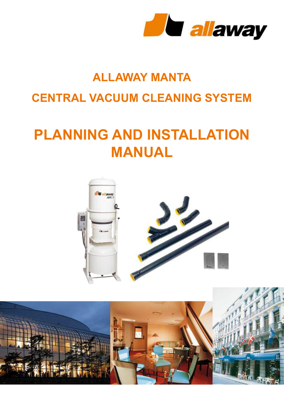

## **ALLAWAY MANTA CENTRAL VACUUM CLEANING SYSTEM**

# **PLANNING AND INSTALLATION MANUAL**



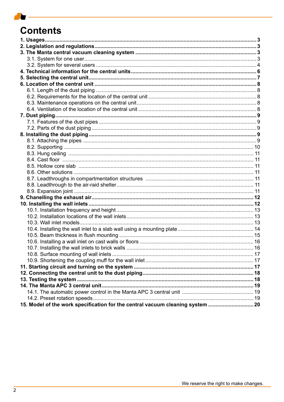## **Contents**

| 15. Model of the work specification for the central vacuum cleaning system |  |
|----------------------------------------------------------------------------|--|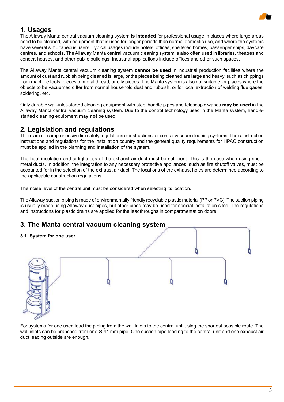## **1. Usages**

The Allaway Manta central vacuum cleaning system **is intended** for professional usage in places where large areas need to be cleaned, with equipment that is used for longer periods than normal domestic use, and where the systems have several simultaneous users. Typical usages include hotels, offices, sheltered homes, passenger ships, daycare centres, and schools. The Allaway Manta central vacuum cleaning system is also often used in libraries, theatres and concert houses, and other public buildings. Industrial applications include offices and other such spaces.

The Allaway Manta central vacuum cleaning system **cannot be used** in industrial production facilities where the amount of dust and rubbish being cleaned is large, or the pieces being cleaned are large and heavy, such as chippings from machine tools, pieces of metal thread, or oily pieces. The Manta system is also not suitable for places where the objects to be vacuumed differ from normal household dust and rubbish, or for local extraction of welding flue gases, soldering, etc.

Only durable wall-inlet-started cleaning equipment with steel handle pipes and telescopic wands **may be used** in the Allaway Manta central vacuum cleaning system. Due to the control technology used in the Manta system, handlestarted cleaning equipment **may not** be used.

## **2. Legislation and regulations**

There are no comprehensive fire safety regulations or instructions for central vacuum cleaning systems. The construction instructions and regulations for the installation country and the general quality requirements for HPAC construction must be applied in the planning and installation of the system.

The heat insulation and airtightness of the exhaust air duct must be sufficient. This is the case when using sheet metal ducts. In addition, the integration to any necessary protective appliances, such as fire shutoff valves, must be accounted for in the selection of the exhaust air duct. The locations of the exhaust holes are determined according to the applicable construction regulations.

The noise level of the central unit must be considered when selecting its location.

The Allaway suction piping is made of environmentally friendly recyclable plastic material (PP or PVC). The suction piping is usually made using Allaway dust pipes, but other pipes may be used for special installation sites. The regulations and instructions for plastic drains are applied for the leadthroughs in compartmentation doors.

## **3. The Manta central vacuum cleaning system**

#### **3.1. System for one user**



For systems for one user, lead the piping from the wall inlets to the central unit using the shortest possible route. The wall inlets can be branched from one Ø 44 mm pipe. One suction pipe leading to the central unit and one exhaust air duct leading outside are enough.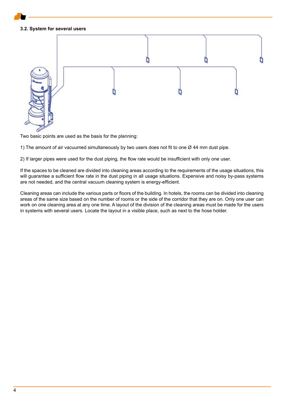#### **3.2. System for several users**



Two basic points are used as the basis for the planning:

1) The amount of air vacuumed simultaneously by two users does not fit to one  $\varnothing$  44 mm dust pipe.

2) If larger pipes were used for the dust piping, the flow rate would be insufficient with only one user.

If the spaces to be cleaned are divided into cleaning areas according to the requirements of the usage situations, this will guarantee a sufficient flow rate in the dust piping in all usage situations. Expensive and noisy by-pass systems are not needed, and the central vacuum cleaning system is energy-efficient.

Cleaning areas can include the various parts or floors of the building. In hotels, the rooms can be divided into cleaning areas of the same size based on the number of rooms or the side of the corridor that they are on. Only one user can work on one cleaning area at any one time. A layout of the division of the cleaning areas must be made for the users in systems with several users. Locate the layout in a visible place, such as next to the hose holder.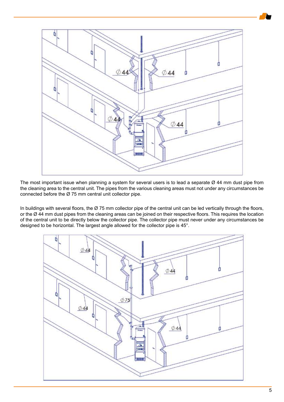

The most important issue when planning a system for several users is to lead a separate Ø 44 mm dust pipe from the cleaning area to the central unit. The pipes from the various cleaning areas must not under any circumstances be connected before the Ø 75 mm central unit collector pipe.

In buildings with several floors, the  $Ø$  75 mm collector pipe of the central unit can be led vertically through the floors, or the Ø 44 mm dust pipes from the cleaning areas can be joined on their respective floors. This requires the location of the central unit to be directly below the collector pipe. The collector pipe must never under any circumstances be designed to be horizontal. The largest angle allowed for the collector pipe is 45°.

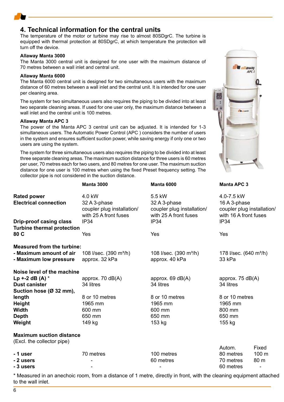## **4. Technical information for the central units**

The temperature of the motor or turbine may rise to almost 80SDgrC. The turbine is equipped with thermal protection at 80SDgrC, at which temperature the protection will turn off the device.

#### **Allaway Manta 3000**

The Manta 3000 central unit is designed for one user with the maximum distance of 70 metres between a wall inlet and central unit.

#### **Allaway Manta 6000**

The Manta 6000 central unit is designed for two simultaneous users with the maximum distance of 60 metres between a wall inlet and the central unit. It is intended for one user per cleaning area.

The system for two simultaneous users also requires the piping to be divided into at least two separate cleaning areas. If used for one user only, the maximum distance between a wall inlet and the central unit is 100 metres.

#### **Allaway Manta APC 3**

The power of the Manta APC 3 central unit can be adjusted. It is intended for 1-3 simultaneous users. The Automatic Power Control (APC ) considers the number of users in the system and ensures sufficient suction power, while saving energy if only one or two users are using the system.

The system for three simultaneous users also requires the piping to be divided into at least three separate cleaning areas. The maximum suction distance for three users is 60 metres per user, 70 metres each for two users, and 80 metres for one user. The maximum suction distance for one user is 100 metres when using the fixed Preset frequency setting. The collector pipe is not considered in the suction distance.

|                                                    | <b>Manta 3000</b>                                                             | <b>Manta 6000</b>                                                             | <b>Manta APC 3</b>                                                                |  |
|----------------------------------------------------|-------------------------------------------------------------------------------|-------------------------------------------------------------------------------|-----------------------------------------------------------------------------------|--|
| <b>Rated power</b><br><b>Electrical connection</b> | 4.0 kW<br>32 A 3-phase<br>coupler plug installation/<br>with 25 A front fuses | 5.5 kW<br>32 A 3-phase<br>coupler plug installation/<br>with 25 A front fuses | 4.0-7.5 kW<br>16 A 3-phase<br>coupler plug installation/<br>with 16 A front fuses |  |
| Drip-proof casing class                            | <b>IP34</b>                                                                   | IP34                                                                          | <b>IP34</b>                                                                       |  |
| <b>Turbine thermal protection</b><br>80 C          | Yes                                                                           | Yes                                                                           | Yes                                                                               |  |
| <b>Measured from the turbine:</b>                  |                                                                               |                                                                               |                                                                                   |  |
| - Maximum amount of air<br>- Maximum low pressure  | 108 l/sec. (390 m <sup>3</sup> /h)<br>approx. 32 kPa                          | 108 l/sec. (390 m <sup>3</sup> /h)<br>approx. 40 kPa                          | 178 l/sec. (640 m <sup>3</sup> /h)<br>33 kPa                                      |  |
| Noise level of the machine                         |                                                                               |                                                                               |                                                                                   |  |
| Lp +-2 dB (A) $*$                                  | approx. $70$ dB(A)                                                            | approx. $69 \text{ dB}(A)$                                                    | approx. $75 \text{ dB}(A)$                                                        |  |
| <b>Dust canister</b>                               | 34 litres<br>34 litres                                                        |                                                                               | 34 litres                                                                         |  |
| Suction hose (Ø 32 mm),                            |                                                                               |                                                                               |                                                                                   |  |
| length                                             | 8 or 10 metres<br>8 or 10 metres                                              |                                                                               | 8 or 10 metres                                                                    |  |
| <b>Height</b>                                      | 1965 mm                                                                       | 1965 mm                                                                       | 1965 mm                                                                           |  |
| <b>Width</b>                                       | 600 mm                                                                        | 600 mm                                                                        | 800 mm                                                                            |  |
| <b>Depth</b>                                       | 650 mm                                                                        | 650 mm                                                                        | 650 mm                                                                            |  |
| Weight                                             | 149 kg                                                                        | 153 kg                                                                        | 155 kg                                                                            |  |
| <b>Maximum suction distance</b>                    |                                                                               |                                                                               |                                                                                   |  |
| (Excl. the collector pipe)                         |                                                                               |                                                                               |                                                                                   |  |
|                                                    |                                                                               |                                                                               | Autom.<br>Fixed                                                                   |  |
| - 1 user                                           | 70 metres                                                                     | 100 metres                                                                    | 100 m<br>80 metres                                                                |  |
| - 2 users                                          |                                                                               | 60 metres                                                                     | 80 m<br>70 metres                                                                 |  |
| - 3 users                                          |                                                                               |                                                                               | 60 metres<br>-                                                                    |  |

\* Measured in an anechoic room, from a distance of 1 metre, directly in front, with the cleaning equipment attached to the wall inlet.

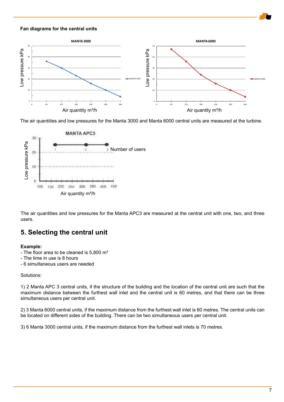#### **Fan diagrams for the central units**



The air quantities and low pressures for the Manta 3000 and Manta 6000 central units are measured at the turbine.



The air quantities and low pressures for the Manta APC3 are measured at the central unit with one, two, and three users.

## **5. Selecting the central unit**

#### **Example:**

- The floor area to be cleaned is 5,800 m<sup>2</sup>
- The time in use is 8 hours
- 6 simultaneous users are needed

#### Solutions:

1) 2 Manta APC 3 central units, if the structure of the building and the location of the central unit are such that the maximum distance between the furthest wall inlet and the central unit is 60 metres, and that there can be three simultaneous users per central unit.

2) 3 Manta 6000 central units, if the maximum distance from the furthest wall inlet is 60 metres. The central units can be located on different sides of the building. There can be two simultaneous users per central unit.

3) 6 Manta 3000 central units, if the maximum distance from the furthest wall inlets is 70 metres.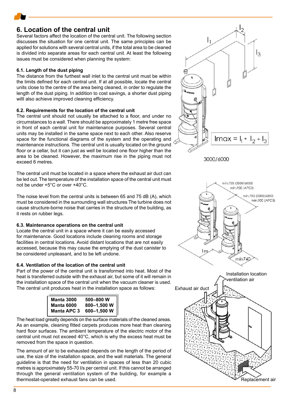## **6. Location of the central unit**

Several factors affect the location of the central unit. The following section discusses the situation for one central unit. The same principles can be applied for solutions with several central units, if the total area to be cleaned is divided into separate areas for each central unit. At least the following issues must be considered when planning the system:

#### **6.1. Length of the dust piping**

The distance from the furthest wall inlet to the central unit must be within the limits defined for each central unit. If at all possible, locate the central units close to the centre of the area being cleaned, in order to regulate the length of the dust piping. In addition to cost savings, a shorter dust piping willl also achieve improved cleaning efficiency.

#### **6.2. Requirements for the location of the central unit**

The central unit should not usually be attached to a floor, and under no circumstances to a wall. There should be approximately 1 metre free space in front of each central unit for maintenance purposes. Several central units may be installed in the same space next to each other. Also reserve space for the functional diagrams of the system and the operating and maintenance instructions. The central unit is usually located on the ground floor or a cellar, but it can just as well be located one floor higher than the area to be cleaned. However, the maximum rise in the piping must not exceed 6 metres.

The central unit must be located in a space where the exhaust air duct can be led out. The temperature of the installation space of the central unit must not be under +5°C or over +40°C.

The noise level from the central units is between 65 and 75 dB (A), which must be considered in the surrounding wall structures The turbine does not cause structure-borne noise that carries in the structure of the building, as it rests on rubber legs.

#### **6.3. Maintenance operations on the central unit**

Locate the central unit in a space where it can be easily accessed for maintenance. Good locations include cleaning rooms and storage facilities in central locations. Avoid distant locations that are not easily accessed, because this may cause the emptying of the dust canister to be considered unpleasant, and to be left undone.

#### **6.4. Ventilation of the location of the central unit**

Part of the power of the central unit is transformed into heat. Most of the heat is transferred outside with the exhaust air, but some of it will remain in the installation space of the central unit when the vacuum cleaner is used. The central unit produces heat in the installation space as follows:

| <b>Manta 3000</b> | 500-800 W               |
|-------------------|-------------------------|
| <b>Manta 6000</b> | 800-1,500 W             |
|                   | Manta APC 3 600-1,500 W |

The heat load greatly depends on the surface materials of the cleaned areas. As an example, cleaning fitted carpets produces more heat than cleaning hard floor surfaces. The ambient temperature of the electric motor of the central unit must not exceed 40°C, which is why the excess heat must be removed from the space in question.

The amount of air to be exhausted depends on the length of the period of use, the size of the installation space, and the wall materials. The general guideline is that the need for ventilation in spaces of less than 20 cubic metres is approximately 55-70 l/s per central unit. If this cannot be arranged through the general ventilation system of the building, for example a thermostat-operated exhaust fans can be used.



Replacement air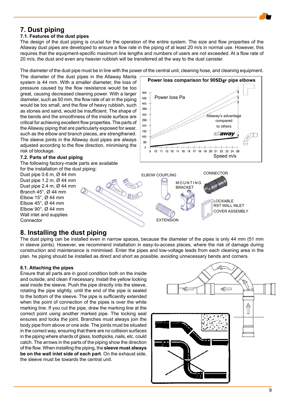## **7. Dust piping**

#### **7.1. Features of the dust pipes**

The design of the dust piping is crucial for the operation of the entire system. The size and flow properties of the Allaway dust pipes are developed to ensure a flow rate in the piping of at least 20 m/s in normal use. However, this requires that the equipment-specific maximum line lengths and numbers of users are not exceeded. At a flow rate of 20 m/s, the dust and even any heavier rubbish will be transferred all the way to the dust canister.

The diameter of the dust pipe must be in line with the power of the central unit, cleaning hose, and cleaning equipment.

The diameter of the dust pipes in the Allaway Manta system is 44 mm. With a smaller diameter, the loss of pressure caused by the flow resistance would be too great, causing decreased cleaning power. With a larger diameter, such as 50 mm, the flow rate of air in the piping would be too small, and the flow of heavy rubbish, such as stones and sand, would be insufficient. The shape of the bends and the smoothness of the inside surface are critical for achieving excellent flow properties. The parts of the Allaway piping that are particularly exposed for wear, such as the elbow and branch pieces, are strengthened. The sleeve joints in the Allaway dust pipes are always adjusted according to the flow direction, minimising the risk of blockage.

#### **7.2. Parts of the dust piping**

The following factory-made parts are available

for the installation of the dust piping: Dust pipe 0.6 m, Ø 44 mm Dust pipe 1.2 m, Ø 44 mm Dust pipe 2.4 m, Ø 44 mm Branch 45°, Ø 44 mm Elbow 15 $^{\circ}$ , Ø 44 mm Elbow 45°, Ø 44 mm Elbow 90°, Ø 44 mm Wall inlet and supplies **Connector** 





## **8. Installing the dust piping**

The dust piping can be installed even in narrow spaces, because the diameter of the pipes is only 44 mm (51 mm in sleeve joints). However, we recommend installation in easy-to-access places, where the risk of damage during construction and maintenance is minimised. Enter the pipes and low-voltage leads from each cleaning area in the plan. he piping should be installed as direct and short as possible, avoiding unnecessary bends and corners.

#### **8.1. Attaching the pipes**

Ensure that all parts are in good condition both on the inside and outside, and clean if necessary. Install the yellow locking seal inside the sleeve. Push the pipe directly into the sleeve, rotating the pipe slightly, until the end of the pipe is sealed to the bottom of the sleeve. The pipe is sufficiently extended when the point of connection of the pipes is over the white marking line. If you cut the pipe, draw the marking line at the correct point using another marked pipe. The locking seal ensures and locks the joint. Branches must always join the body pipe from above or one side. The joints must be situated in the correct way, ensuring that there are no collision surfaces in the piping where shards of glass, toothpicks, nails, etc. could catch. The arrows in the parts of the piping show the direction of the flow. When installing the piping, the **sleeve must always be on the wall inlet side of each part**. On the exhaust side, the sleeve must be towards the central unit.

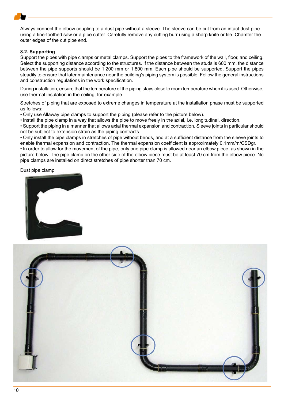Always connect the elbow coupling to a dust pipe without a sleeve. The sleeve can be cut from an intact dust pipe using a fine-toothed saw or a pipe cutter. Carefully remove any cutting burr using a sharp knife or file. Chamfer the outer edges of the cut pipe end.

#### **8.2. Supporting**

Support the pipes with pipe clamps or metal clamps. Support the pipes to the framework of the wall, floor, and ceiling. Select the supporting distance according to the structures. If the distance between the studs is 600 mm, the distance between the pipe supports should be 1,200 mm or 1,800 mm. Each pipe should be supported. Support the pipes steadily to ensure that later maintenance near the building's piping system is possible. Follow the general instructions and construction regulations in the work specification.

During installation, ensure that the temperature of the piping stays close to room temperature when it is used. Otherwise, use thermal insulation in the ceiling, for example.

Stretches of piping that are exposed to extreme changes in temperature at the installation phase must be supported as follows:

• Only use Allaway pipe clamps to support the piping (please refer to the picture below).

• Install the pipe clamp in a way that allows the pipe to move freely in the axial, i.e. longitudinal, direction.

• Support the piping in a manner that allows axial thermal expansion and contraction. Sleeve joints in particular should not be subject to extension strain as the piping contracts.

• Only install the pipe clamps in stretches of pipe without bends, and at a sufficient distance from the sleeve joints to enable thermal expansion and contraction. The thermal expansion coefficient is approximately 0.1mm/m/CSDgr.

• In order to allow for the movement of the pipe, only one pipe clamp is allowed near an elbow piece, as shown in the picture below. The pipe clamp on the other side of the elbow piece must be at least 70 cm from the elbow piece. No pipe clamps are installed on direct stretches of pipe shorter than 70 cm.

#### Dust pipe clamp



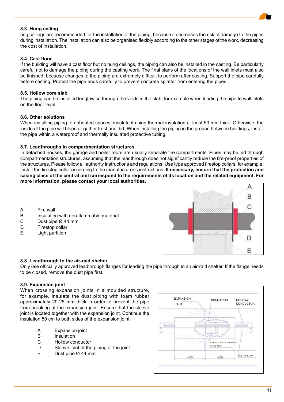#### **8.3. Hung ceiling**

ung ceilings are recommended for the installation of the piping, because it decreases the risk of damage to the pipes during installation. The installation can also be organised flexibly according to the other stages of the work, decreasing the cost of installation.

#### **8.4. Cast floor**

If the building will have a cast floor but no hung ceilings, the piping can also be installed in the casting. Be particularly careful not to damage the piping during the casting work. The final plans of the locations of the wall inlets must also be finished, because changes to the piping are extremely difficult to perform after casting. Support the pipe carefully before casting. Protect the pipe ends carefully to prevent concrete splatter from entering the pipes.

#### **8.5. Hollow core slab**

The piping can be installed lengthwise through the voids in the slab, for example when leading the pipe to wall inlets on the floor level.

#### **8.6. Other solutions**

When installing piping to unheated spaces, insulate it using thermal insulation at least 50 mm thick. Otherwise, the inside of the pipe will bleed or gather frost and dirt. When installing the piping in the ground between buildings, install the pipe within a waterproof and thermally insulated protective tubing.

#### **8.7. Leadthroughs in compartmentation structures**

In detached houses, the garage and boiler room are usually separate fire compartments. Pipes may be led through compartmentation structures, assuming that the leadthrough does not significantly reduce the fire-proof properties of the structures. Please follow all authority instructions and regulations. Use type approved firestop collars, for example. Install the firestop collar according to the manufacturer's instructions. **If necessary, ensure that the protection and casing class of the central unit correspond to the requirements of its location and the related equipment. For more information, please contact your local authorities.**

- A Fire wall
- B Insulation with non-flammable material
- C Dust pipe  $\varnothing$  44 mm<br>D Firestop collar
- D Firestop collar<br>E Light partition
- Light partition



#### **8.8. Leadthrough to the air-raid shelter**

Only use officially approved leadthrough flanges for leading the pipe through to an air-raid shelter. If the flange needs to be closed, remove the dust pipe first.

#### **8.9. Expansion joint**

When crossing expansion joints in a moulded structure, for example, insulate the dust piping with foam rubber approximately 20-25 mm thick in order to prevent the pipe from breaking at the expansion joint. Ensure that the sleeve joint is located together with the expansion joint. Continue the insulation 50 cm to both sides of the expansion joint.

- A Expansion joint
- B Insulation<br>C Hollow co
- C Hollow conductor<br>D Sleeve ioint of the
- D Sleeve joint of the piping at the joint<br>
F Dust pipe  $\varnothing$  44 mm
- Dust pipe  $Ø$  44 mm

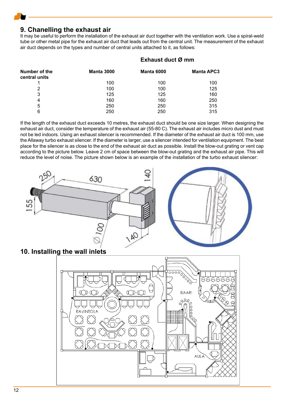## **9. Chanelling the exhaust air**

It may be useful to perform the installation of the exhaust air duct together with the ventilation work. Use a spiral-weld tube or other metal pipe for the exhaust air duct that leads out from the central unit. The measurement of the exhaust air duct depends on the types and number of central units attached to it, as follows:

| Exhaust duct Ø mm |            |                   |  |
|-------------------|------------|-------------------|--|
| <b>Manta 3000</b> | Manta 6000 | <b>Manta APC3</b> |  |
| 100               | 100        | 100               |  |
| 100               | 100        | 125               |  |
| 125               | 125        | 160               |  |
| 160               | 160        | 250               |  |
| 250               | 250        | 315               |  |
| 250               | 250        | 315               |  |
|                   |            |                   |  |

If the length of the exhaust duct exceeds 10 metres, the exhaust duct should be one size larger. When designing the exhaust air duct, consider the temperature of the exhaust air (55-80 C). The exhaust air includes micro dust and must not be led indoors. Using an exhaust silencer is recommended. If the diameter of the exhaust air duct is 100 mm, use the Allaway turbo exhaust silencer. If the diameter is larger, use a silencer intended for ventilation equipment. The best place for the silencer is as close to the end of the exhaust air duct as possible. Install the blow-out grating or vent cap according to the picture below. Leave 2 cm of space between the blow-out grating and the exhaust air pipe. This will reduce the level of noise. The picture shown below is an example of the installation of the turbo exhaust silencer:



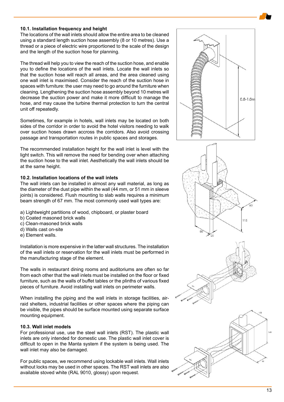#### **10.1. Installation frequency and height**

The locations of the wall inlets should allow the entire area to be cleaned using a standard length suction hose assembly (8 or 10 metres). Use a thread or a piece of electric wire proportioned to the scale of the design and the length of the suction hose for planning.

The thread will help you to view the reach of the suction hose, and enable you to define the locations of the wall inlets. Locate the wall inlets so that the suction hose will reach all areas, and the area cleaned using one wall inlet is maximised. Consider the reach of the suction hose in spaces with furniture: the user may need to go around the furniture when cleaning. Lengthening the suction hose assembly beyond 10 metres will decrease the suction power and make it more difficult to manage the hose, and may cause the turbine thermal protection to turn the central unit off repeatedly.

Sometimes, for example in hotels, wall inlets may be located on both sides of the corridor in order to avoid the hotel visitors needing to walk over suction hoses drawn accross the corridors. Also avoid crossing passage and transportation routes in public spaces and storages.

The recommended installation height for the wall inlet is level with the light switch. This will remove the need for bending over when attaching the suction hose to the wall inlet. Aesthetically the wall inlets should be at the same height.

#### **10.2. Installation locations of the wall inlets**

The wall inlets can be installed in almost any wall material, as long as the diameter of the dust pipe within the wall (44 mm, or 51 mm in sleeve joints) is considered. Flush mounting to slab walls requires a minimum beam strength of 67 mm. The most commonly used wall types are:

- a) Lightweight partitions of wood, chipboard, or plaster board
- b) Coated masoned brick walls
- c) Clean-masoned brick walls
- d) Walls cast on-site
- e) Element walls.

Installation is more expensive in the latter wall structures. The installation of the wall inlets or reservation for the wall inlets must be performed in the manufacturing stage of the element.

The walls in restaurant dining rooms and auditoriums are often so far from each other that the wall inlets must be installed on the floor or fixed furniture, such as the walls of buffet tables or the plinths of various fixed pieces of furniture. Avoid installing wall inlets on perimeter walls.

When installing the piping and the wall inlets in storage facilities, airraid shelters, industrial facilities or other spaces where the piping can be visible, the pipes should be surface mounted using separate surface mounting equipment.

#### **10.3. Wall inlet models**

For professional use, use the steel wall inlets (RST). The plastic wall inlets are only intended for domestic use. The plastic wall inlet cover is difficult to open in the Manta system if the system is being used. The wall inlet may also be damaged.

For public spaces, we recommend using lockable wall inlets. Wall inlets without locks may be used in other spaces. The RST wall inlets are also available stoved white (RAL 9010, glossy) upon request.







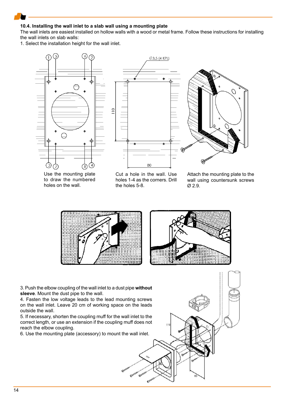#### **10.4. Installing the wall inlet to a slab wall using a mounting plate**

The wall inlets are easiest installed on hollow walls with a wood or metal frame. Follow these instructions for installing the wall inlets on slab walls:

1. Select the installation height for the wall inlet.



Use the mounting plate to draw the numbered holes on the wall.

Cut a hole in the wall. Use holes 1-4 as the corners. Drill the holes 5-8.

Attach the mounting plate to the wall using countersunk screws Ø 2.9.



110

3. Push the elbow coupling of the wall inlet to a dust pipe **without sleeve**. Mount the dust pipe to the wall.

4. Fasten the low voltage leads to the lead mounting screws on the wall inlet. Leave 20 cm of working space on the leads outside the wall.

5. If necessary, shorten the coupling muff for the wall inlet to the correct length, or use an extension if the coupling muff does not reach the elbow coupling.

6. Use the mounting plate (accessory) to mount the wall inlet.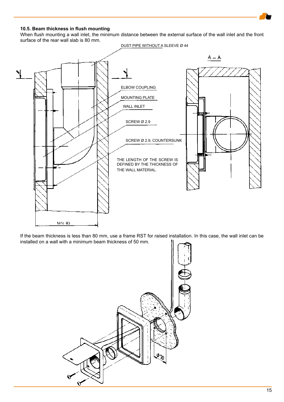#### **10.5. Beam thickness in flush mounting**

When flush mounting a wall inlet, the minimum distance between the external surface of the wall inlet and the front surface of the rear wall slab is 80 mm.



If the beam thickness is less than 80 mm, use a frame RST for raised installation. In this case, the wall inlet can be installed on a wall with a minimum beam thickness of 50 mm.

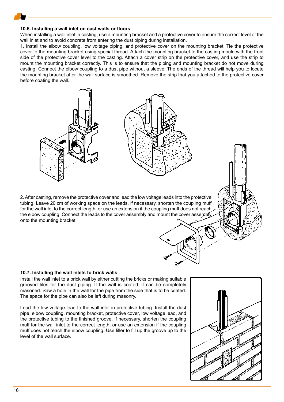#### **10.6. Installing a wall inlet on cast walls or floors**

When installing a wall inlet in casting, use a mounting bracket and a protective cover to ensure the correct level of the wall inlet and to avoid concrete from entering the dust piping during installation.

1. Install the elbow coupling, low voltage piping, and protective cover on the mounting bracket. Tie the protective cover to the mounting bracket using special thread. Attach the mounting bracket to the casting mould with the front side of the protective cover level to the casting. Attach a cover strip on the protective cover, and use the strip to mount the mounting bracket correctly. This is to ensure that the piping and mounting bracket do not move during casting. Connect the elbow coupling to a dust pipe without a sleeve. The ends of the thread will help you to locate the mounting bracket after the wall surface is smoothed. Remove the strip that you attached to the protective cover before coating the wall.

2. After casting, remove the protective cover and lead the low voltage leads into the protective tubing. Leave 20 cm of working space on the leads. If necessary, shorten the coupling muff for the wall inlet to the correct length, or use an extension if the coupling muff does not reach the elbow coupling. Connect the leads to the cover assembly and mount the cover assembly onto the mounting bracket.

#### **10.7. Installing the wall inlets to brick walls**

Install the wall inlet to a brick wall by either cutting the bricks or making suitable grooved tiles for the dust piping. If the wall is coated, it can be completely masoned. Saw a hole in the wall for the pipe from the side that is to be coated. The space for the pipe can also be left during masonry.

Lead the low voltage lead to the wall inlet in protective tubing. Install the dust pipe, elbow coupling, mounting bracket, protective cover, low voltage lead, and the protective tubing to the finished groove. If necessary, shorten the coupling muff for the wall inlet to the correct length, or use an extension if the coupling muff does not reach the elbow coupling. Use filler to fill up the groove up to the level of the wall surface.

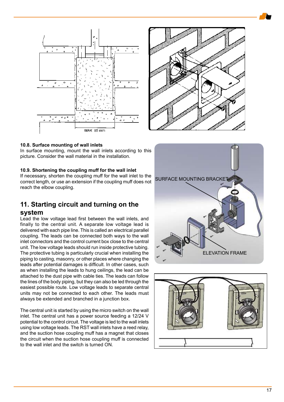





#### **10.8. Surface mounting of wall inlets**

In surface mounting, mount the wall inlets according to this picture. Consider the wall material in the installation.

#### **10.9. Shortening the coupling muff for the wall inlet**

If necessary, shorten the coupling muff for the wall inlet to the correct length, or use an extension if the coupling muff does not reach the elbow coupling.

## **11. Starting circuit and turning on the**

#### **system**

Lead the low voltage lead first between the wall inlets, and finally to the central unit. A separate low voltage lead is delivered with each pipe line. This is called an electrical parallel coupling. The leads can be connected both ways to the wall inlet connectors and the control current box close to the central unit. The low voltage leads should run inside protective tubing. The protective tubing is particularly crucial when installing the piping to casting, masonry, or other places where changing the leads after potential damages is difficult. In other cases, such as when installing the leads to hung ceilings, the lead can be attached to the dust pipe with cable ties. The leads can follow the lines of the body piping, but they can also be led through the easiest possible route. Low voltage leads to separate central units may not be connected to each other. The leads must always be extended and branched in a junction box.

The central unit is started by using the micro switch on the wall inlet. The central unit has a power source feeding a 12/24 V potential to the control circuit. The voltage is led to the wall inlets using low voltage leads. The RST wall inlets have a reed relay, and the suction hose coupling muff has a magnet that closes the circuit when the suction hose coupling muff is connected to the wall inlet and the switch is turned ON.



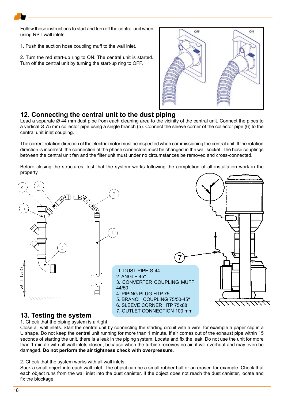Follow these instructions to start and turn off the central unit when using RST wall inlets:

1. Push the suction hose coupling muff to the wall inlet.

2. Turn the red start-up ring to ON. The central unit is started. Turn off the central unit by turning the start-up ring to OFF.



## **12. Connecting the central unit to the dust piping**

Lead a separate Ø 44 mm dust pipe from each cleaning area to the vicinity of the central unit. Connect the pipes to a vertical Ø 75 mm collector pipe using a single branch (5). Connect the sleeve corner of the collector pipe (6) to the central unit inlet coupling.

The correct rotation direction of the electric motor must be inspected when commissioning the central unit. If the rotation direction is incorrect, the connection of the phase connectors must be changed in the wall socket. The hose couplings between the central unit fan and the filter unit must under no circumstances be removed and cross-connected.

Before closing the structures, test that the system works following the completion of all installation work in the property.



## **13. Testing the system**

1. Check that the piping system is airtight.

Close all wall inlets. Start the central unit by connecting the starting circuit with a wire, for example a paper clip in a U shape. Do not keep the central unit running for more than 1 minute. If air comes out of the exhaust pipe within 15 seconds of starting the unit, there is a leak in the piping system. Locate and fix the leak. Do not use the unit for more than 1 minute with all wall inlets closed, because when the turbine receives no air, it will overheat and may even be damaged. **Do not perform the air tightness check with overpressure**.

2. Check that the system works with all wall inlets.

Suck a small object into each wall inlet. The object can be a small rubber ball or an eraser, for example. Check that each object runs from the wall inlet into the dust canister. If the object does not reach the dust canister, locate and fix the blockage.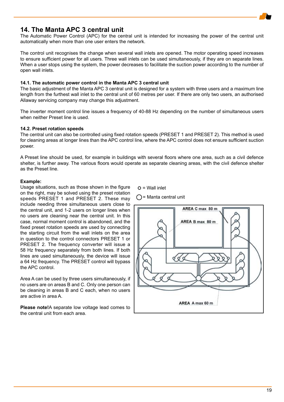

## **14. The Manta APC 3 central unit**

The Automatic Power Control (APC) for the central unit is intended for increasing the power of the central unit automatically when more than one user enters the network.

The control unit recognises the change when several wall inlets are opened. The motor operating speed increases to ensure sufficient power for all users. Three wall inlets can be used simultaneously, if they are on separate lines. When a user stops using the system, the power decreases to facilitate the suction power according to the number of open wall inlets.

### **14.1. The automatic power control in the Manta APC 3 central unit**

The basic adjustment of the Manta APC 3 central unit is designed for a system with three users and a maximum line length from the furthest wall inlet to the central unit of 60 metres per user. If there are only two users, an authorised Allaway servicing company may change this adjustment.

The inverter moment control line issues a frequency of 40-88 Hz depending on the number of simultaneous users when neither Preset line is used.

### **14.2. Preset rotation speeds**

The central unit can also be controlled using fixed rotation speeds (PRESET 1 and PRESET 2). This method is used for cleaning areas at longer lines than the APC control line, where the APC control does not ensure sufficient suction power.

A Preset line should be used, for example in buildings with several floors where one area, such as a civil defence shelter, is further away. The various floors would operate as separate cleaning areas, with the civil defence shelter as the Preset line.

#### **Example:**

Usage situations, such as those shown in the figure on the right, may be solved using the preset rotation speeds PRESET 1 and PRESET 2. These may include needing three simultaneous users close to the central unit, and 1-2 users on longer lines when no users are cleaning near the central unit. In this case, normal moment control is abandoned, and the fixed preset rotation speeds are used by connecting the starting circuit from the wall inlets on the area in question to the control connectors PRESET 1 or PRESET 2. The frequency converter will issue a 58 Hz frequency separately from both lines. If both lines are used simultaneously, the device will issue a 64 Hz frequency. The PRESET control will bypass the APC control.

Area A can be used by three users simultaneously, if no users are on areas B and C. Only one person can be cleaning in areas B and C each, when no users are active in area A.

**Please note!**A separate low voltage lead comes to the central unit from each area.

 $Q =$  Wall inlet

 $\bigcap$  = Manta central unit